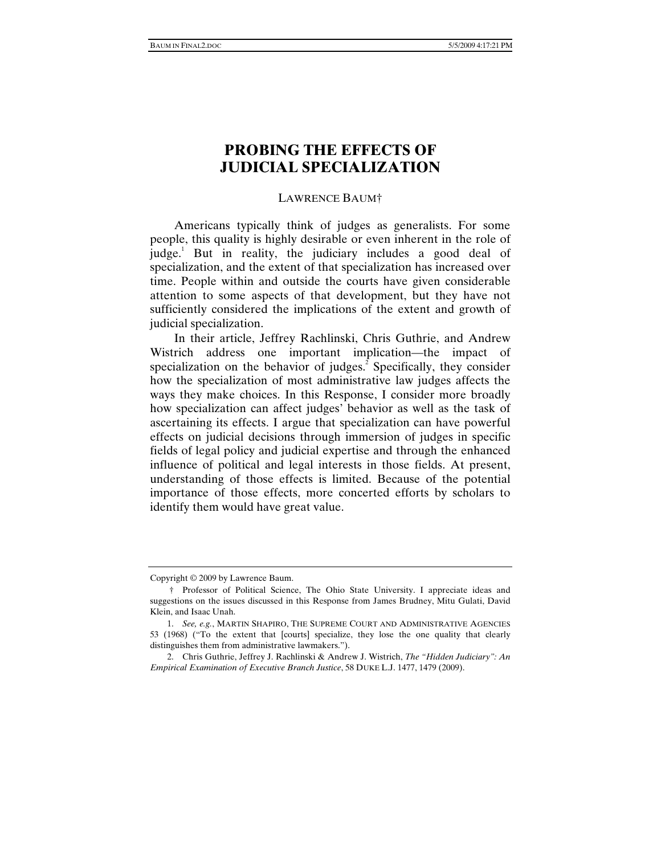# **PROBING THE EFFECTS OF JUDICIAL SPECIALIZATION**

# LAWRENCE BAUM†

Americans typically think of judges as generalists. For some people, this quality is highly desirable or even inherent in the role of judge.<sup>1</sup> But in reality, the judiciary includes a good deal of specialization, and the extent of that specialization has increased over time. People within and outside the courts have given considerable attention to some aspects of that development, but they have not sufficiently considered the implications of the extent and growth of judicial specialization.

In their article, Jeffrey Rachlinski, Chris Guthrie, and Andrew Wistrich address one important implication—the impact of specialization on the behavior of judges.<sup>2</sup> Specifically, they consider how the specialization of most administrative law judges affects the ways they make choices. In this Response, I consider more broadly how specialization can affect judges' behavior as well as the task of ascertaining its effects. I argue that specialization can have powerful effects on judicial decisions through immersion of judges in specific fields of legal policy and judicial expertise and through the enhanced influence of political and legal interests in those fields. At present, understanding of those effects is limited. Because of the potential importance of those effects, more concerted efforts by scholars to identify them would have great value.

Copyright © 2009 by Lawrence Baum.

 <sup>†</sup> Professor of Political Science, The Ohio State University. I appreciate ideas and suggestions on the issues discussed in this Response from James Brudney, Mitu Gulati, David Klein, and Isaac Unah.

<sup>1.</sup> *See, e.g.*, MARTIN SHAPIRO, THE SUPREME COURT AND ADMINISTRATIVE AGENCIES 53 (1968) ("To the extent that [courts] specialize, they lose the one quality that clearly distinguishes them from administrative lawmakers.").

 <sup>2.</sup> Chris Guthrie, Jeffrey J. Rachlinski & Andrew J. Wistrich, *The "Hidden Judiciary": An Empirical Examination of Executive Branch Justice*, 58 DUKE L.J. 1477, 1479 (2009).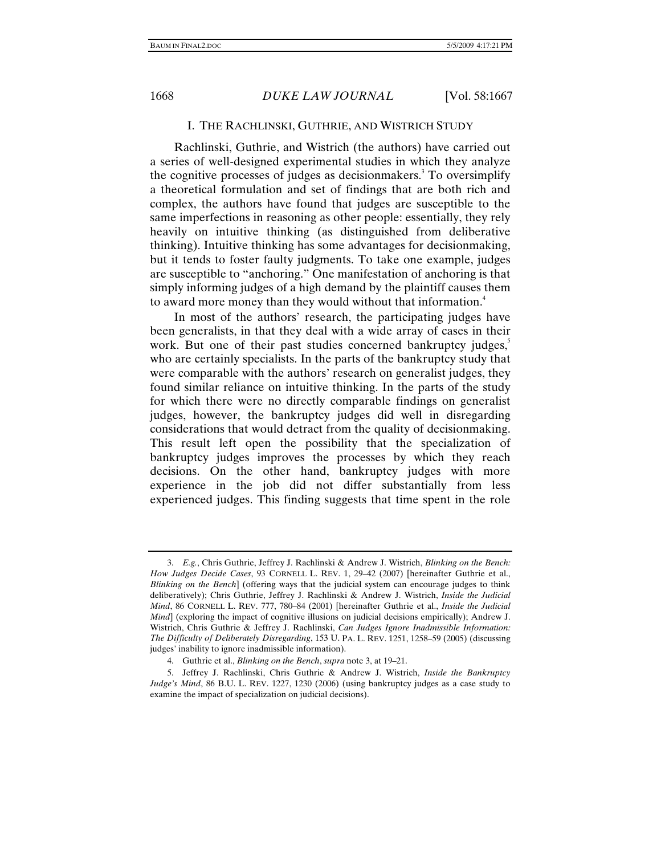### I. THE RACHLINSKI, GUTHRIE, AND WISTRICH STUDY

Rachlinski, Guthrie, and Wistrich (the authors) have carried out a series of well-designed experimental studies in which they analyze the cognitive processes of judges as decisionmakers.<sup>3</sup> To oversimplify a theoretical formulation and set of findings that are both rich and complex, the authors have found that judges are susceptible to the same imperfections in reasoning as other people: essentially, they rely heavily on intuitive thinking (as distinguished from deliberative thinking). Intuitive thinking has some advantages for decisionmaking, but it tends to foster faulty judgments. To take one example, judges are susceptible to "anchoring." One manifestation of anchoring is that simply informing judges of a high demand by the plaintiff causes them to award more money than they would without that information.<sup>4</sup>

In most of the authors' research, the participating judges have been generalists, in that they deal with a wide array of cases in their work. But one of their past studies concerned bankruptcy judges,<sup>5</sup> who are certainly specialists. In the parts of the bankruptcy study that were comparable with the authors' research on generalist judges, they found similar reliance on intuitive thinking. In the parts of the study for which there were no directly comparable findings on generalist judges, however, the bankruptcy judges did well in disregarding considerations that would detract from the quality of decisionmaking. This result left open the possibility that the specialization of bankruptcy judges improves the processes by which they reach decisions. On the other hand, bankruptcy judges with more experience in the job did not differ substantially from less experienced judges. This finding suggests that time spent in the role

<sup>3.</sup> *E.g.*, Chris Guthrie, Jeffrey J. Rachlinski & Andrew J. Wistrich, *Blinking on the Bench: How Judges Decide Cases*, 93 CORNELL L. REV. 1, 29–42 (2007) [hereinafter Guthrie et al., *Blinking on the Bench*] (offering ways that the judicial system can encourage judges to think deliberatively); Chris Guthrie, Jeffrey J. Rachlinski & Andrew J. Wistrich, *Inside the Judicial Mind*, 86 CORNELL L. REV. 777, 780–84 (2001) [hereinafter Guthrie et al., *Inside the Judicial Mind*] (exploring the impact of cognitive illusions on judicial decisions empirically); Andrew J. Wistrich, Chris Guthrie & Jeffrey J. Rachlinski, *Can Judges Ignore Inadmissible Information: The Difficulty of Deliberately Disregarding*, 153 U. PA. L. REV. 1251, 1258–59 (2005) (discussing judges' inability to ignore inadmissible information).

 <sup>4.</sup> Guthrie et al., *Blinking on the Bench*, *supra* note 3, at 19–21.

 <sup>5.</sup> Jeffrey J. Rachlinski, Chris Guthrie & Andrew J. Wistrich, *Inside the Bankruptcy Judge's Mind*, 86 B.U. L. REV. 1227, 1230 (2006) (using bankruptcy judges as a case study to examine the impact of specialization on judicial decisions).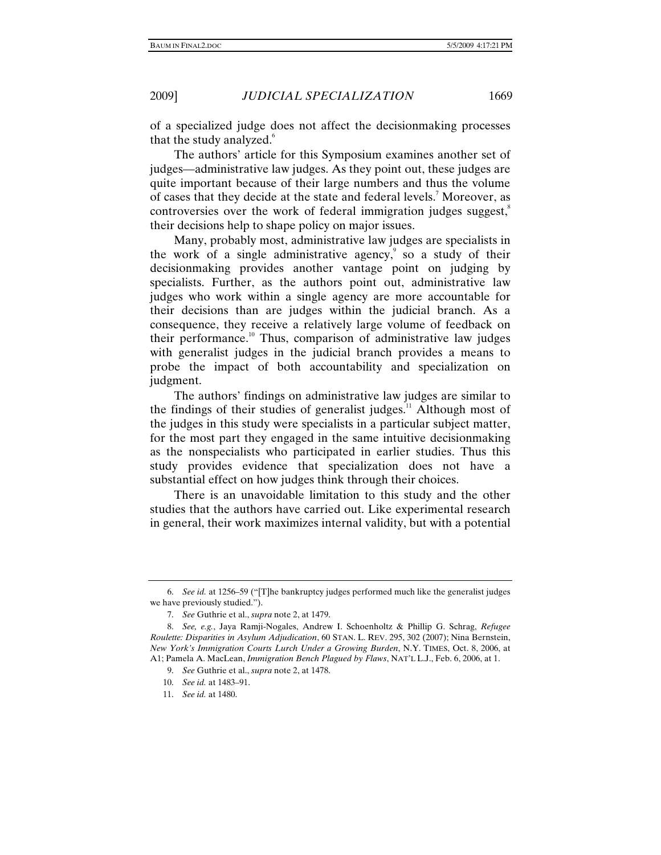of a specialized judge does not affect the decisionmaking processes that the study analyzed.<sup>6</sup>

The authors' article for this Symposium examines another set of judges—administrative law judges. As they point out, these judges are quite important because of their large numbers and thus the volume of cases that they decide at the state and federal levels.<sup>7</sup> Moreover, as controversies over the work of federal immigration judges suggest,<sup>8</sup> their decisions help to shape policy on major issues.

Many, probably most, administrative law judges are specialists in the work of a single administrative agency, $\degree$  so a study of their decisionmaking provides another vantage point on judging by specialists. Further, as the authors point out, administrative law judges who work within a single agency are more accountable for their decisions than are judges within the judicial branch. As a consequence, they receive a relatively large volume of feedback on their performance. $10$  Thus, comparison of administrative law judges with generalist judges in the judicial branch provides a means to probe the impact of both accountability and specialization on judgment.

The authors' findings on administrative law judges are similar to the findings of their studies of generalist judges. $11$  Although most of the judges in this study were specialists in a particular subject matter, for the most part they engaged in the same intuitive decisionmaking as the nonspecialists who participated in earlier studies. Thus this study provides evidence that specialization does not have a substantial effect on how judges think through their choices.

There is an unavoidable limitation to this study and the other studies that the authors have carried out. Like experimental research in general, their work maximizes internal validity, but with a potential

<sup>6.</sup> *See id.* at 1256–59 ("[T]he bankruptcy judges performed much like the generalist judges we have previously studied.").

<sup>7.</sup> *See* Guthrie et al., *supra* note 2, at 1479.

<sup>8.</sup> *See, e.g.*, Jaya Ramji-Nogales, Andrew I. Schoenholtz & Phillip G. Schrag, *Refugee Roulette: Disparities in Asylum Adjudication*, 60 STAN. L. REV. 295, 302 (2007); Nina Bernstein, *New York's Immigration Courts Lurch Under a Growing Burden*, N.Y. TIMES, Oct. 8, 2006, at A1; Pamela A. MacLean, *Immigration Bench Plagued by Flaws*, NAT'L L.J., Feb. 6, 2006, at 1.

<sup>9.</sup> *See* Guthrie et al., *supra* note 2, at 1478.

<sup>10.</sup> *See id.* at 1483–91.

<sup>11.</sup> *See id.* at 1480.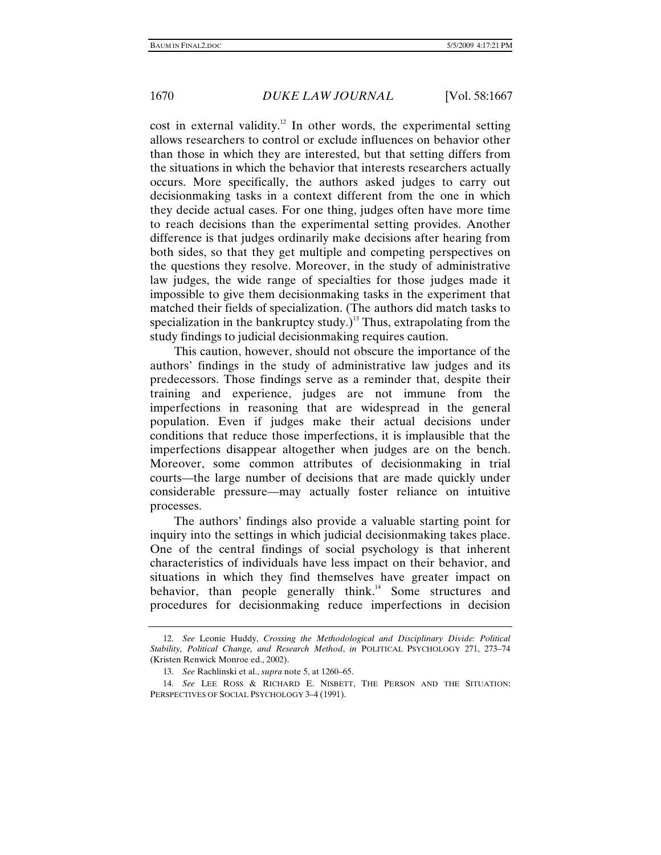cost in external validity.<sup>12</sup> In other words, the experimental setting allows researchers to control or exclude influences on behavior other than those in which they are interested, but that setting differs from the situations in which the behavior that interests researchers actually occurs. More specifically, the authors asked judges to carry out decisionmaking tasks in a context different from the one in which they decide actual cases. For one thing, judges often have more time to reach decisions than the experimental setting provides. Another difference is that judges ordinarily make decisions after hearing from both sides, so that they get multiple and competing perspectives on the questions they resolve. Moreover, in the study of administrative law judges, the wide range of specialties for those judges made it impossible to give them decisionmaking tasks in the experiment that matched their fields of specialization. (The authors did match tasks to specialization in the bankruptcy study.)<sup>13</sup> Thus, extrapolating from the study findings to judicial decisionmaking requires caution.

This caution, however, should not obscure the importance of the authors' findings in the study of administrative law judges and its predecessors. Those findings serve as a reminder that, despite their training and experience, judges are not immune from the imperfections in reasoning that are widespread in the general population. Even if judges make their actual decisions under conditions that reduce those imperfections, it is implausible that the imperfections disappear altogether when judges are on the bench. Moreover, some common attributes of decisionmaking in trial courts—the large number of decisions that are made quickly under considerable pressure—may actually foster reliance on intuitive processes.

The authors' findings also provide a valuable starting point for inquiry into the settings in which judicial decisionmaking takes place. One of the central findings of social psychology is that inherent characteristics of individuals have less impact on their behavior, and situations in which they find themselves have greater impact on behavior, than people generally think.<sup>14</sup> Some structures and procedures for decisionmaking reduce imperfections in decision

<sup>12.</sup> *See* Leonie Huddy, *Crossing the Methodological and Disciplinary Divide: Political Stability, Political Change, and Research Method*, *in* POLITICAL PSYCHOLOGY 271, 273–74 (Kristen Renwick Monroe ed., 2002).

<sup>13.</sup> *See* Rachlinski et al., *supra* note 5, at 1260–65.

<sup>14.</sup> *See* LEE ROSS & RICHARD E. NISBETT, THE PERSON AND THE SITUATION: PERSPECTIVES OF SOCIAL PSYCHOLOGY 3–4 (1991).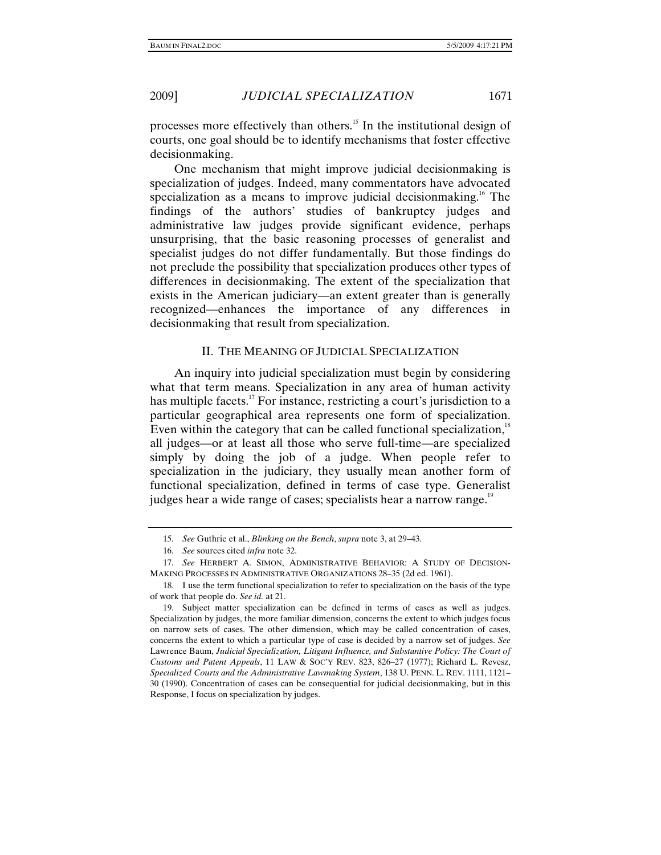processes more effectively than others.15 In the institutional design of courts, one goal should be to identify mechanisms that foster effective decisionmaking.

One mechanism that might improve judicial decisionmaking is specialization of judges. Indeed, many commentators have advocated specialization as a means to improve judicial decisionmaking.<sup>16</sup> The findings of the authors' studies of bankruptcy judges and administrative law judges provide significant evidence, perhaps unsurprising, that the basic reasoning processes of generalist and specialist judges do not differ fundamentally. But those findings do not preclude the possibility that specialization produces other types of differences in decisionmaking. The extent of the specialization that exists in the American judiciary—an extent greater than is generally recognized—enhances the importance of any differences in decisionmaking that result from specialization.

## II. THE MEANING OF JUDICIAL SPECIALIZATION

An inquiry into judicial specialization must begin by considering what that term means. Specialization in any area of human activity has multiple facets.<sup>17</sup> For instance, restricting a court's jurisdiction to a particular geographical area represents one form of specialization. Even within the category that can be called functional specialization, $\frac{18}{18}$ all judges—or at least all those who serve full-time—are specialized simply by doing the job of a judge. When people refer to specialization in the judiciary, they usually mean another form of functional specialization, defined in terms of case type. Generalist judges hear a wide range of cases; specialists hear a narrow range.<sup>19</sup>

<sup>15.</sup> *See* Guthrie et al., *Blinking on the Bench*, *supra* note 3, at 29–43.

<sup>16.</sup> *See* sources cited *infra* note 32.

<sup>17.</sup> *See* HERBERT A. SIMON, ADMINISTRATIVE BEHAVIOR: A STUDY OF DECISION-MAKING PROCESSES IN ADMINISTRATIVE ORGANIZATIONS 28–35 (2d ed. 1961).

 <sup>18.</sup> I use the term functional specialization to refer to specialization on the basis of the type of work that people do. *See id.* at 21.

 <sup>19.</sup> Subject matter specialization can be defined in terms of cases as well as judges. Specialization by judges, the more familiar dimension, concerns the extent to which judges focus on narrow sets of cases. The other dimension, which may be called concentration of cases, concerns the extent to which a particular type of case is decided by a narrow set of judges. *See* Lawrence Baum, *Judicial Specialization, Litigant Influence, and Substantive Policy: The Court of Customs and Patent Appeals*, 11 LAW & SOC'Y REV. 823, 826–27 (1977); Richard L. Revesz, *Specialized Courts and the Administrative Lawmaking System*, 138 U. PENN. L. REV. 1111, 1121– 30 (1990). Concentration of cases can be consequential for judicial decisionmaking, but in this Response, I focus on specialization by judges.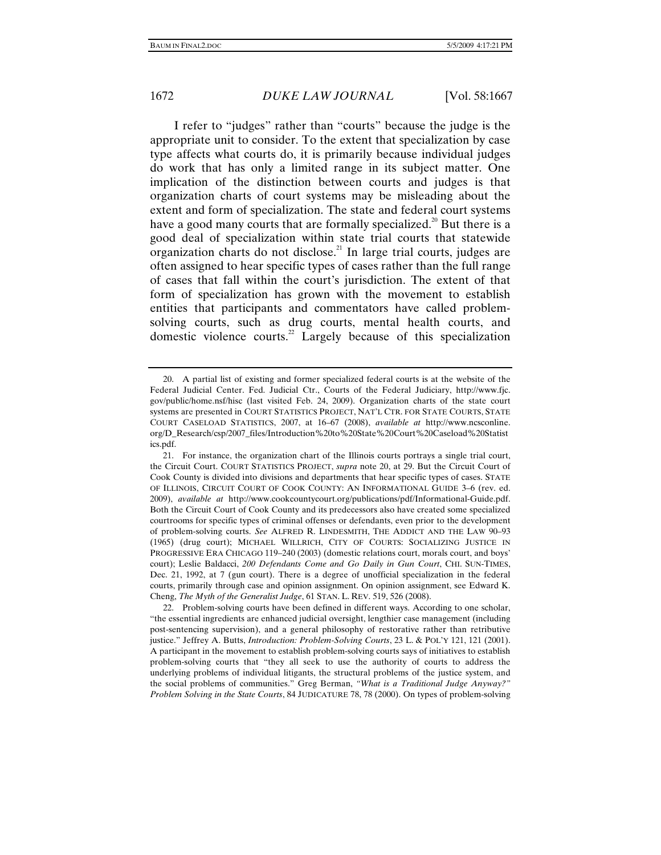I refer to "judges" rather than "courts" because the judge is the appropriate unit to consider. To the extent that specialization by case type affects what courts do, it is primarily because individual judges do work that has only a limited range in its subject matter. One implication of the distinction between courts and judges is that organization charts of court systems may be misleading about the extent and form of specialization. The state and federal court systems have a good many courts that are formally specialized.<sup>20</sup> But there is a good deal of specialization within state trial courts that statewide organization charts do not disclose.<sup>21</sup> In large trial courts, judges are often assigned to hear specific types of cases rather than the full range of cases that fall within the court's jurisdiction. The extent of that form of specialization has grown with the movement to establish entities that participants and commentators have called problemsolving courts, such as drug courts, mental health courts, and domestic violence courts.<sup>22</sup> Largely because of this specialization

 <sup>20.</sup> A partial list of existing and former specialized federal courts is at the website of the Federal Judicial Center. Fed. Judicial Ctr., Courts of the Federal Judiciary, http://www.fjc. gov/public/home.nsf/hisc (last visited Feb. 24, 2009). Organization charts of the state court systems are presented in COURT STATISTICS PROJECT, NAT'L CTR. FOR STATE COURTS, STATE COURT CASELOAD STATISTICS, 2007, at 16–67 (2008), *available at* http://www.ncsconline. org/D\_Research/csp/2007\_files/Introduction%20to%20State%20Court%20Caseload%20Statist ics.pdf.

 <sup>21.</sup> For instance, the organization chart of the Illinois courts portrays a single trial court, the Circuit Court. COURT STATISTICS PROJECT, *supra* note 20, at 29. But the Circuit Court of Cook County is divided into divisions and departments that hear specific types of cases. STATE OF ILLINOIS, CIRCUIT COURT OF COOK COUNTY: AN INFORMATIONAL GUIDE 3–6 (rev. ed. 2009), *available at* http://www.cookcountycourt.org/publications/pdf/Informational-Guide.pdf. Both the Circuit Court of Cook County and its predecessors also have created some specialized courtrooms for specific types of criminal offenses or defendants, even prior to the development of problem-solving courts. *See* ALFRED R. LINDESMITH, THE ADDICT AND THE LAW 90–93 (1965) (drug court); MICHAEL WILLRICH, CITY OF COURTS: SOCIALIZING JUSTICE IN PROGRESSIVE ERA CHICAGO 119–240 (2003) (domestic relations court, morals court, and boys' court); Leslie Baldacci, *200 Defendants Come and Go Daily in Gun Court*, CHI. SUN-TIMES, Dec. 21, 1992, at 7 (gun court). There is a degree of unofficial specialization in the federal courts, primarily through case and opinion assignment. On opinion assignment, see Edward K. Cheng, *The Myth of the Generalist Judge*, 61 STAN. L. REV. 519, 526 (2008).

 <sup>22.</sup> Problem-solving courts have been defined in different ways. According to one scholar, "the essential ingredients are enhanced judicial oversight, lengthier case management (including post-sentencing supervision), and a general philosophy of restorative rather than retributive justice." Jeffrey A. Butts, *Introduction: Problem-Solving Courts*, 23 L. & POL'Y 121, 121 (2001). A participant in the movement to establish problem-solving courts says of initiatives to establish problem-solving courts that "they all seek to use the authority of courts to address the underlying problems of individual litigants, the structural problems of the justice system, and the social problems of communities." Greg Berman, *"What is a Traditional Judge Anyway?" Problem Solving in the State Courts*, 84 JUDICATURE 78, 78 (2000). On types of problem-solving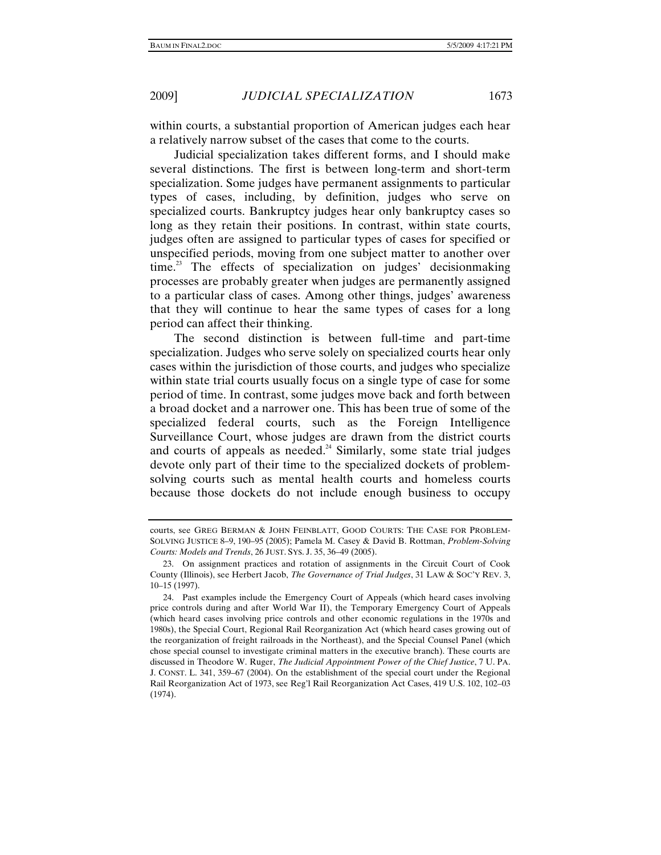within courts, a substantial proportion of American judges each hear a relatively narrow subset of the cases that come to the courts.

Judicial specialization takes different forms, and I should make several distinctions. The first is between long-term and short-term specialization. Some judges have permanent assignments to particular types of cases, including, by definition, judges who serve on specialized courts. Bankruptcy judges hear only bankruptcy cases so long as they retain their positions. In contrast, within state courts, judges often are assigned to particular types of cases for specified or unspecified periods, moving from one subject matter to another over  $time<sup>23</sup>$  The effects of specialization on judges' decision making processes are probably greater when judges are permanently assigned to a particular class of cases. Among other things, judges' awareness that they will continue to hear the same types of cases for a long period can affect their thinking.

The second distinction is between full-time and part-time specialization. Judges who serve solely on specialized courts hear only cases within the jurisdiction of those courts, and judges who specialize within state trial courts usually focus on a single type of case for some period of time. In contrast, some judges move back and forth between a broad docket and a narrower one. This has been true of some of the specialized federal courts, such as the Foreign Intelligence Surveillance Court, whose judges are drawn from the district courts and courts of appeals as needed.<sup>24</sup> Similarly, some state trial judges devote only part of their time to the specialized dockets of problemsolving courts such as mental health courts and homeless courts because those dockets do not include enough business to occupy

courts, see GREG BERMAN & JOHN FEINBLATT, GOOD COURTS: THE CASE FOR PROBLEM-SOLVING JUSTICE 8–9, 190–95 (2005); Pamela M. Casey & David B. Rottman, *Problem-Solving Courts: Models and Trends*, 26 JUST. SYS. J. 35, 36–49 (2005).

 <sup>23.</sup> On assignment practices and rotation of assignments in the Circuit Court of Cook County (Illinois), see Herbert Jacob, *The Governance of Trial Judges*, 31 LAW & SOC'Y REV. 3, 10–15 (1997).

 <sup>24.</sup> Past examples include the Emergency Court of Appeals (which heard cases involving price controls during and after World War II), the Temporary Emergency Court of Appeals (which heard cases involving price controls and other economic regulations in the 1970s and 1980s), the Special Court, Regional Rail Reorganization Act (which heard cases growing out of the reorganization of freight railroads in the Northeast), and the Special Counsel Panel (which chose special counsel to investigate criminal matters in the executive branch). These courts are discussed in Theodore W. Ruger, *The Judicial Appointment Power of the Chief Justice*, 7 U. PA. J. CONST. L. 341, 359–67 (2004). On the establishment of the special court under the Regional Rail Reorganization Act of 1973, see Reg'l Rail Reorganization Act Cases, 419 U.S. 102, 102–03 (1974).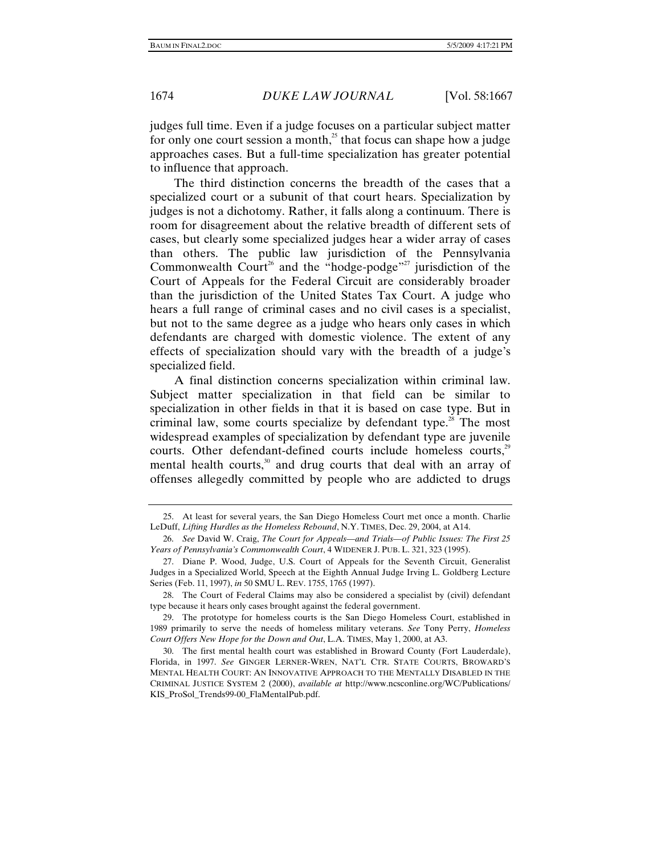judges full time. Even if a judge focuses on a particular subject matter for only one court session a month,<sup>25</sup> that focus can shape how a judge approaches cases. But a full-time specialization has greater potential to influence that approach.

The third distinction concerns the breadth of the cases that a specialized court or a subunit of that court hears. Specialization by judges is not a dichotomy. Rather, it falls along a continuum. There is room for disagreement about the relative breadth of different sets of cases, but clearly some specialized judges hear a wider array of cases than others. The public law jurisdiction of the Pennsylvania Commonwealth Court<sup>26</sup> and the "hodge-podge"<sup>27</sup> jurisdiction of the Court of Appeals for the Federal Circuit are considerably broader than the jurisdiction of the United States Tax Court. A judge who hears a full range of criminal cases and no civil cases is a specialist, but not to the same degree as a judge who hears only cases in which defendants are charged with domestic violence. The extent of any effects of specialization should vary with the breadth of a judge's specialized field.

A final distinction concerns specialization within criminal law. Subject matter specialization in that field can be similar to specialization in other fields in that it is based on case type. But in criminal law, some courts specialize by defendant type.<sup>28</sup> The most widespread examples of specialization by defendant type are juvenile courts. Other defendant-defined courts include homeless courts,<sup>29</sup> mental health courts, $30$  and drug courts that deal with an array of offenses allegedly committed by people who are addicted to drugs

 <sup>25.</sup> At least for several years, the San Diego Homeless Court met once a month. Charlie LeDuff, *Lifting Hurdles as the Homeless Rebound*, N.Y. TIMES, Dec. 29, 2004, at A14.

<sup>26.</sup> *See* David W. Craig, *The Court for Appeals—and Trials—of Public Issues: The First 25 Years of Pennsylvania's Commonwealth Court*, 4 WIDENER J. PUB. L. 321, 323 (1995).

 <sup>27.</sup> Diane P. Wood, Judge, U.S. Court of Appeals for the Seventh Circuit, Generalist Judges in a Specialized World, Speech at the Eighth Annual Judge Irving L. Goldberg Lecture Series (Feb. 11, 1997), *in* 50 SMU L. REV. 1755, 1765 (1997).

 <sup>28.</sup> The Court of Federal Claims may also be considered a specialist by (civil) defendant type because it hears only cases brought against the federal government.

 <sup>29.</sup> The prototype for homeless courts is the San Diego Homeless Court, established in 1989 primarily to serve the needs of homeless military veterans. *See* Tony Perry, *Homeless Court Offers New Hope for the Down and Out*, L.A. TIMES, May 1, 2000, at A3.

 <sup>30.</sup> The first mental health court was established in Broward County (Fort Lauderdale), Florida, in 1997. *See* GINGER LERNER-WREN, NAT'L CTR. STATE COURTS, BROWARD'S MENTAL HEALTH COURT: AN INNOVATIVE APPROACH TO THE MENTALLY DISABLED IN THE CRIMINAL JUSTICE SYSTEM 2 (2000), *available at* http://www.ncsconline.org/WC/Publications/ KIS\_ProSol\_Trends99-00\_FlaMentalPub.pdf.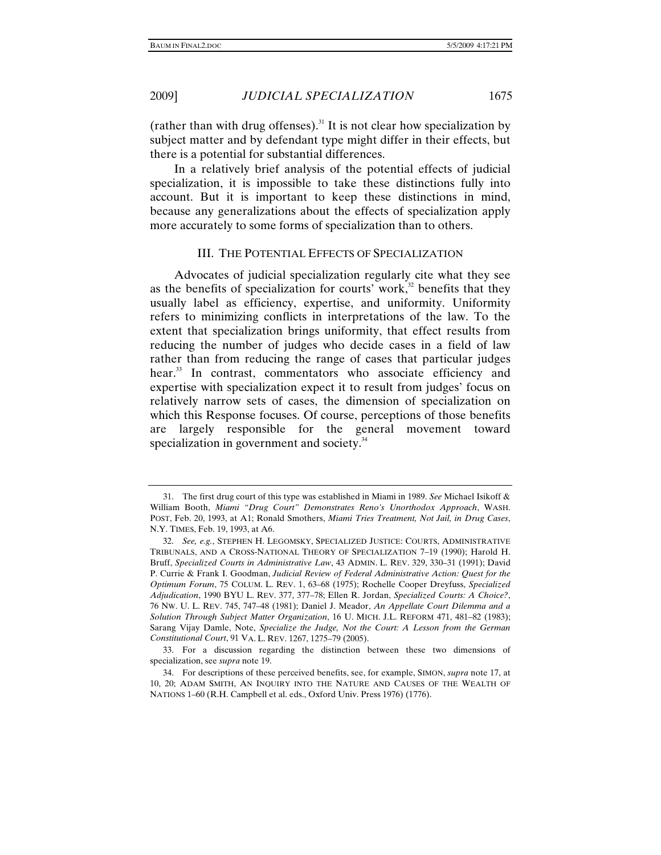(rather than with drug offenses).<sup>31</sup> It is not clear how specialization by subject matter and by defendant type might differ in their effects, but there is a potential for substantial differences.

In a relatively brief analysis of the potential effects of judicial specialization, it is impossible to take these distinctions fully into account. But it is important to keep these distinctions in mind, because any generalizations about the effects of specialization apply more accurately to some forms of specialization than to others.

# III. THE POTENTIAL EFFECTS OF SPECIALIZATION

Advocates of judicial specialization regularly cite what they see as the benefits of specialization for courts' work, $32$  benefits that they usually label as efficiency, expertise, and uniformity. Uniformity refers to minimizing conflicts in interpretations of the law. To the extent that specialization brings uniformity, that effect results from reducing the number of judges who decide cases in a field of law rather than from reducing the range of cases that particular judges hear.<sup>33</sup> In contrast, commentators who associate efficiency and expertise with specialization expect it to result from judges' focus on relatively narrow sets of cases, the dimension of specialization on which this Response focuses. Of course, perceptions of those benefits are largely responsible for the general movement toward specialization in government and society.<sup>34</sup>

 <sup>31.</sup> The first drug court of this type was established in Miami in 1989. *See* Michael Isikoff & William Booth, *Miami "Drug Court" Demonstrates Reno's Unorthodox Approach*, WASH. POST, Feb. 20, 1993, at A1; Ronald Smothers, *Miami Tries Treatment, Not Jail, in Drug Cases*, N.Y. TIMES, Feb. 19, 1993, at A6.

<sup>32.</sup> *See, e.g.*, STEPHEN H. LEGOMSKY, SPECIALIZED JUSTICE: COURTS, ADMINISTRATIVE TRIBUNALS, AND A CROSS-NATIONAL THEORY OF SPECIALIZATION 7–19 (1990); Harold H. Bruff, *Specialized Courts in Administrative Law*, 43 ADMIN. L. REV. 329, 330–31 (1991); David P. Currie & Frank I. Goodman, *Judicial Review of Federal Administrative Action: Quest for the Optimum Forum*, 75 COLUM. L. REV. 1, 63–68 (1975); Rochelle Cooper Dreyfuss, *Specialized Adjudication*, 1990 BYU L. REV. 377, 377–78; Ellen R. Jordan, *Specialized Courts: A Choice?*, 76 NW. U. L. REV. 745, 747–48 (1981); Daniel J. Meador, *An Appellate Court Dilemma and a Solution Through Subject Matter Organization*, 16 U. MICH. J.L. REFORM 471, 481–82 (1983); Sarang Vijay Damle, Note, *Specialize the Judge, Not the Court: A Lesson from the German Constitutional Court*, 91 VA. L. REV. 1267, 1275–79 (2005).

 <sup>33.</sup> For a discussion regarding the distinction between these two dimensions of specialization, see *supra* note 19.

 <sup>34.</sup> For descriptions of these perceived benefits, see, for example, SIMON, *supra* note 17, at 10, 20; ADAM SMITH, AN INQUIRY INTO THE NATURE AND CAUSES OF THE WEALTH OF NATIONS 1–60 (R.H. Campbell et al. eds., Oxford Univ. Press 1976) (1776).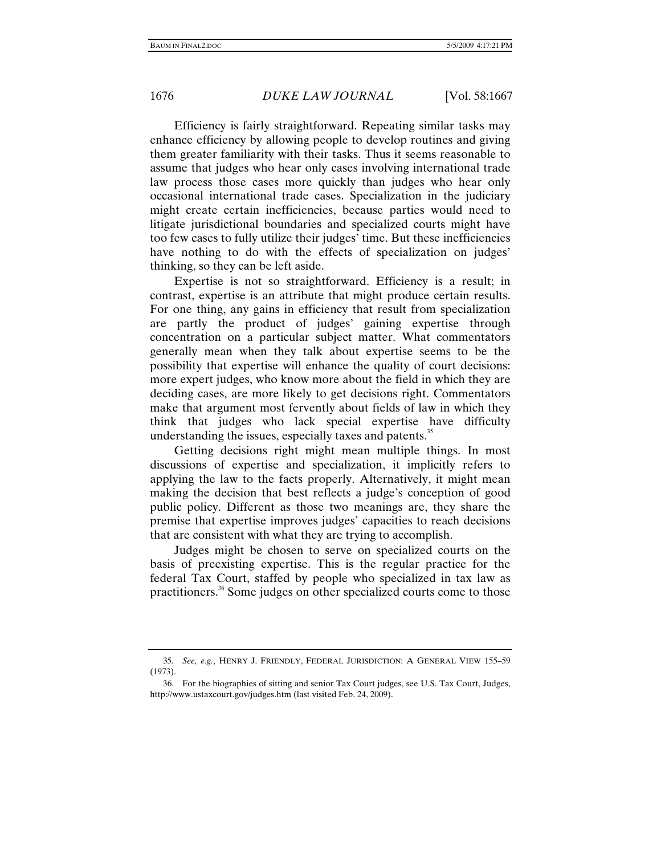Efficiency is fairly straightforward. Repeating similar tasks may enhance efficiency by allowing people to develop routines and giving them greater familiarity with their tasks. Thus it seems reasonable to assume that judges who hear only cases involving international trade law process those cases more quickly than judges who hear only occasional international trade cases. Specialization in the judiciary might create certain inefficiencies, because parties would need to litigate jurisdictional boundaries and specialized courts might have too few cases to fully utilize their judges' time. But these inefficiencies have nothing to do with the effects of specialization on judges' thinking, so they can be left aside.

Expertise is not so straightforward. Efficiency is a result; in contrast, expertise is an attribute that might produce certain results. For one thing, any gains in efficiency that result from specialization are partly the product of judges' gaining expertise through concentration on a particular subject matter. What commentators generally mean when they talk about expertise seems to be the possibility that expertise will enhance the quality of court decisions: more expert judges, who know more about the field in which they are deciding cases, are more likely to get decisions right. Commentators make that argument most fervently about fields of law in which they think that judges who lack special expertise have difficulty understanding the issues, especially taxes and patents.<sup>35</sup>

Getting decisions right might mean multiple things. In most discussions of expertise and specialization, it implicitly refers to applying the law to the facts properly. Alternatively, it might mean making the decision that best reflects a judge's conception of good public policy. Different as those two meanings are, they share the premise that expertise improves judges' capacities to reach decisions that are consistent with what they are trying to accomplish.

Judges might be chosen to serve on specialized courts on the basis of preexisting expertise. This is the regular practice for the federal Tax Court, staffed by people who specialized in tax law as practitioners.36 Some judges on other specialized courts come to those

<sup>35.</sup> *See, e.g.*, HENRY J. FRIENDLY, FEDERAL JURISDICTION: A GENERAL VIEW 155–59 (1973).

 <sup>36.</sup> For the biographies of sitting and senior Tax Court judges, see U.S. Tax Court, Judges, http://www.ustaxcourt.gov/judges.htm (last visited Feb. 24, 2009).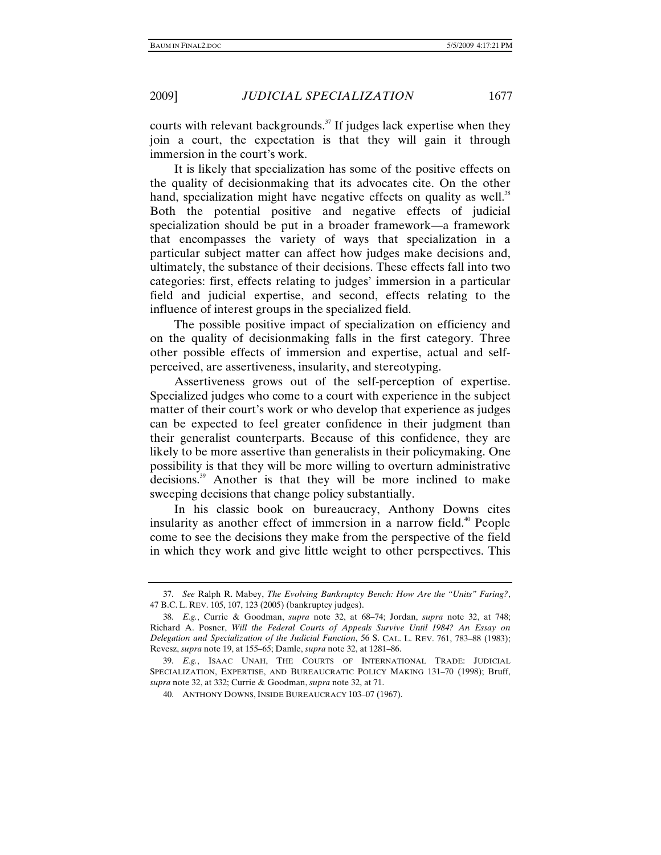courts with relevant backgrounds.<sup>37</sup> If judges lack expertise when they join a court, the expectation is that they will gain it through immersion in the court's work.

It is likely that specialization has some of the positive effects on the quality of decisionmaking that its advocates cite. On the other hand, specialization might have negative effects on quality as well.<sup>38</sup> Both the potential positive and negative effects of judicial specialization should be put in a broader framework—a framework that encompasses the variety of ways that specialization in a particular subject matter can affect how judges make decisions and, ultimately, the substance of their decisions. These effects fall into two categories: first, effects relating to judges' immersion in a particular field and judicial expertise, and second, effects relating to the influence of interest groups in the specialized field.

The possible positive impact of specialization on efficiency and on the quality of decisionmaking falls in the first category. Three other possible effects of immersion and expertise, actual and selfperceived, are assertiveness, insularity, and stereotyping.

Assertiveness grows out of the self-perception of expertise. Specialized judges who come to a court with experience in the subject matter of their court's work or who develop that experience as judges can be expected to feel greater confidence in their judgment than their generalist counterparts. Because of this confidence, they are likely to be more assertive than generalists in their policymaking. One possibility is that they will be more willing to overturn administrative decisions.39 Another is that they will be more inclined to make sweeping decisions that change policy substantially.

In his classic book on bureaucracy, Anthony Downs cites insularity as another effect of immersion in a narrow field.<sup>40</sup> People come to see the decisions they make from the perspective of the field in which they work and give little weight to other perspectives. This

<sup>37.</sup> *See* Ralph R. Mabey, *The Evolving Bankruptcy Bench: How Are the "Units" Faring?*, 47 B.C. L. REV. 105, 107, 123 (2005) (bankruptcy judges).

<sup>38.</sup> *E.g.*, Currie & Goodman, *supra* note 32, at 68–74; Jordan, *supra* note 32, at 748; Richard A. Posner, *Will the Federal Courts of Appeals Survive Until 1984? An Essay on Delegation and Specialization of the Judicial Function*, 56 S. CAL. L. REV. 761, 783–88 (1983); Revesz, *supra* note 19, at 155–65; Damle, *supra* note 32, at 1281–86.

<sup>39.</sup> *E.g.*, ISAAC UNAH, THE COURTS OF INTERNATIONAL TRADE: JUDICIAL SPECIALIZATION, EXPERTISE, AND BUREAUCRATIC POLICY MAKING 131–70 (1998); Bruff, *supra* note 32, at 332; Currie & Goodman, *supra* note 32, at 71.

 <sup>40.</sup> ANTHONY DOWNS, INSIDE BUREAUCRACY 103–07 (1967).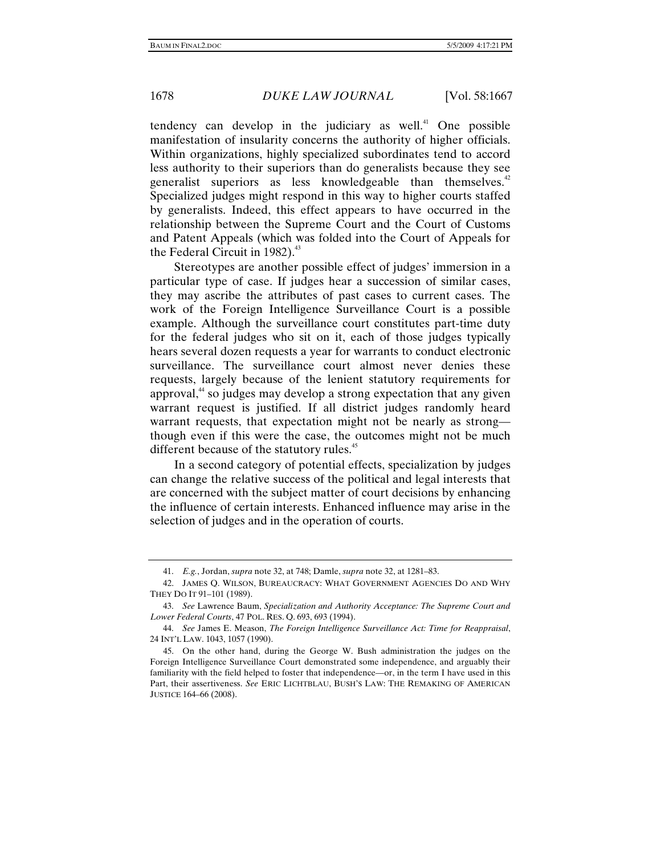tendency can develop in the judiciary as well.<sup> $41$ </sup> One possible manifestation of insularity concerns the authority of higher officials. Within organizations, highly specialized subordinates tend to accord less authority to their superiors than do generalists because they see generalist superiors as less knowledgeable than themselves.<sup>42</sup> Specialized judges might respond in this way to higher courts staffed by generalists. Indeed, this effect appears to have occurred in the relationship between the Supreme Court and the Court of Customs and Patent Appeals (which was folded into the Court of Appeals for the Federal Circuit in  $1982$ ).<sup>43</sup>

Stereotypes are another possible effect of judges' immersion in a particular type of case. If judges hear a succession of similar cases, they may ascribe the attributes of past cases to current cases. The work of the Foreign Intelligence Surveillance Court is a possible example. Although the surveillance court constitutes part-time duty for the federal judges who sit on it, each of those judges typically hears several dozen requests a year for warrants to conduct electronic surveillance. The surveillance court almost never denies these requests, largely because of the lenient statutory requirements for approval,<sup>44</sup> so judges may develop a strong expectation that any given warrant request is justified. If all district judges randomly heard warrant requests, that expectation might not be nearly as strong though even if this were the case, the outcomes might not be much different because of the statutory rules.<sup>45</sup>

In a second category of potential effects, specialization by judges can change the relative success of the political and legal interests that are concerned with the subject matter of court decisions by enhancing the influence of certain interests. Enhanced influence may arise in the selection of judges and in the operation of courts.

<sup>41.</sup> *E.g.*, Jordan, *supra* note 32, at 748; Damle, *supra* note 32, at 1281–83.

 <sup>42.</sup> JAMES Q. WILSON, BUREAUCRACY: WHAT GOVERNMENT AGENCIES DO AND WHY THEY DO IT 91–101 (1989).

<sup>43.</sup> *See* Lawrence Baum, *Specialization and Authority Acceptance: The Supreme Court and Lower Federal Courts*, 47 POL. RES. Q. 693, 693 (1994).

<sup>44.</sup> *See* James E. Meason, *The Foreign Intelligence Surveillance Act: Time for Reappraisal*, 24 INT'L LAW. 1043, 1057 (1990).

 <sup>45.</sup> On the other hand, during the George W. Bush administration the judges on the Foreign Intelligence Surveillance Court demonstrated some independence, and arguably their familiarity with the field helped to foster that independence—or, in the term I have used in this Part, their assertiveness. *See* ERIC LICHTBLAU, BUSH'S LAW: THE REMAKING OF AMERICAN JUSTICE 164–66 (2008).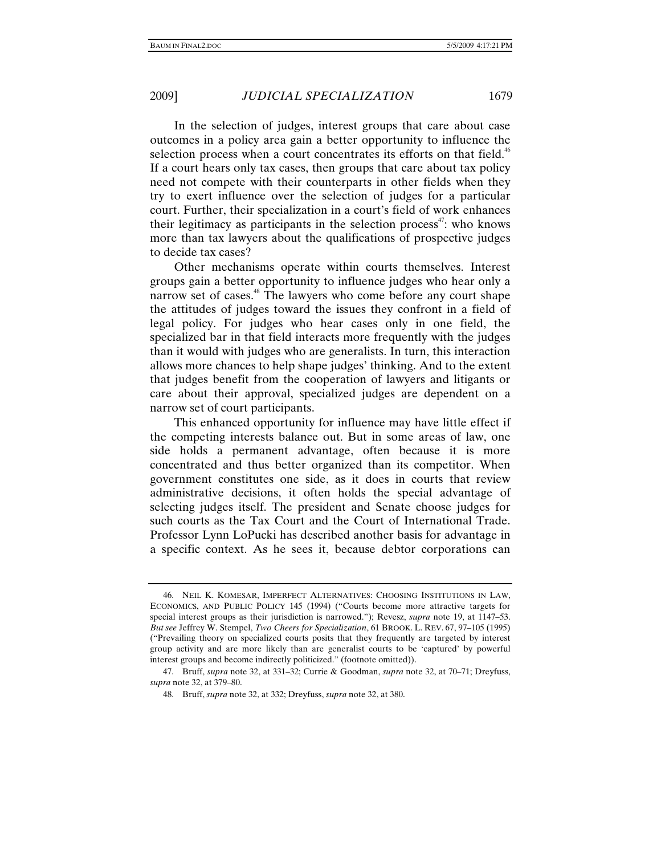In the selection of judges, interest groups that care about case outcomes in a policy area gain a better opportunity to influence the selection process when a court concentrates its efforts on that field.<sup>46</sup> If a court hears only tax cases, then groups that care about tax policy need not compete with their counterparts in other fields when they try to exert influence over the selection of judges for a particular court. Further, their specialization in a court's field of work enhances their legitimacy as participants in the selection process<sup> $47$ </sup>: who knows more than tax lawyers about the qualifications of prospective judges to decide tax cases?

Other mechanisms operate within courts themselves. Interest groups gain a better opportunity to influence judges who hear only a narrow set of cases.<sup>48</sup> The lawyers who come before any court shape the attitudes of judges toward the issues they confront in a field of legal policy. For judges who hear cases only in one field, the specialized bar in that field interacts more frequently with the judges than it would with judges who are generalists. In turn, this interaction allows more chances to help shape judges' thinking. And to the extent that judges benefit from the cooperation of lawyers and litigants or care about their approval, specialized judges are dependent on a narrow set of court participants.

This enhanced opportunity for influence may have little effect if the competing interests balance out. But in some areas of law, one side holds a permanent advantage, often because it is more concentrated and thus better organized than its competitor. When government constitutes one side, as it does in courts that review administrative decisions, it often holds the special advantage of selecting judges itself. The president and Senate choose judges for such courts as the Tax Court and the Court of International Trade. Professor Lynn LoPucki has described another basis for advantage in a specific context. As he sees it, because debtor corporations can

 <sup>46.</sup> NEIL K. KOMESAR, IMPERFECT ALTERNATIVES: CHOOSING INSTITUTIONS IN LAW, ECONOMICS, AND PUBLIC POLICY 145 (1994) ("Courts become more attractive targets for special interest groups as their jurisdiction is narrowed."); Revesz, *supra* note 19, at 1147–53. *But see* Jeffrey W. Stempel, *Two Cheers for Specialization*, 61 BROOK. L. REV. 67, 97–105 (1995) ("Prevailing theory on specialized courts posits that they frequently are targeted by interest group activity and are more likely than are generalist courts to be 'captured' by powerful interest groups and become indirectly politicized." (footnote omitted)).

 <sup>47.</sup> Bruff, *supra* note 32, at 331–32; Currie & Goodman, *supra* note 32, at 70–71; Dreyfuss, *supra* note 32, at 379–80.

 <sup>48.</sup> Bruff, *supra* note 32, at 332; Dreyfuss, *supra* note 32, at 380.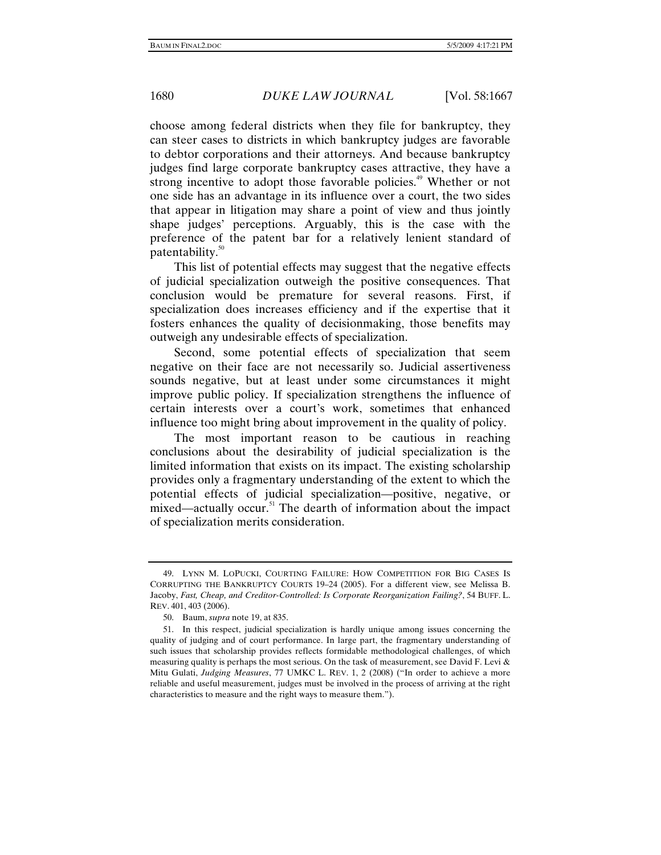choose among federal districts when they file for bankruptcy, they can steer cases to districts in which bankruptcy judges are favorable to debtor corporations and their attorneys. And because bankruptcy judges find large corporate bankruptcy cases attractive, they have a strong incentive to adopt those favorable policies.<sup>49</sup> Whether or not one side has an advantage in its influence over a court, the two sides that appear in litigation may share a point of view and thus jointly shape judges' perceptions. Arguably, this is the case with the preference of the patent bar for a relatively lenient standard of patentability. $50$ 

This list of potential effects may suggest that the negative effects of judicial specialization outweigh the positive consequences. That conclusion would be premature for several reasons. First, if specialization does increases efficiency and if the expertise that it fosters enhances the quality of decisionmaking, those benefits may outweigh any undesirable effects of specialization.

Second, some potential effects of specialization that seem negative on their face are not necessarily so. Judicial assertiveness sounds negative, but at least under some circumstances it might improve public policy. If specialization strengthens the influence of certain interests over a court's work, sometimes that enhanced influence too might bring about improvement in the quality of policy.

The most important reason to be cautious in reaching conclusions about the desirability of judicial specialization is the limited information that exists on its impact. The existing scholarship provides only a fragmentary understanding of the extent to which the potential effects of judicial specialization—positive, negative, or mixed—actually occur.<sup>51</sup> The dearth of information about the impact of specialization merits consideration.

 <sup>49.</sup> LYNN M. LOPUCKI, COURTING FAILURE: HOW COMPETITION FOR BIG CASES IS CORRUPTING THE BANKRUPTCY COURTS 19–24 (2005). For a different view, see Melissa B. Jacoby, *Fast, Cheap, and Creditor-Controlled: Is Corporate Reorganization Failing?*, 54 BUFF. L. REV. 401, 403 (2006).

 <sup>50.</sup> Baum, *supra* note 19, at 835.

 <sup>51.</sup> In this respect, judicial specialization is hardly unique among issues concerning the quality of judging and of court performance. In large part, the fragmentary understanding of such issues that scholarship provides reflects formidable methodological challenges, of which measuring quality is perhaps the most serious. On the task of measurement, see David F. Levi  $\&$ Mitu Gulati, *Judging Measures*, 77 UMKC L. REV. 1, 2 (2008) ("In order to achieve a more reliable and useful measurement, judges must be involved in the process of arriving at the right characteristics to measure and the right ways to measure them.").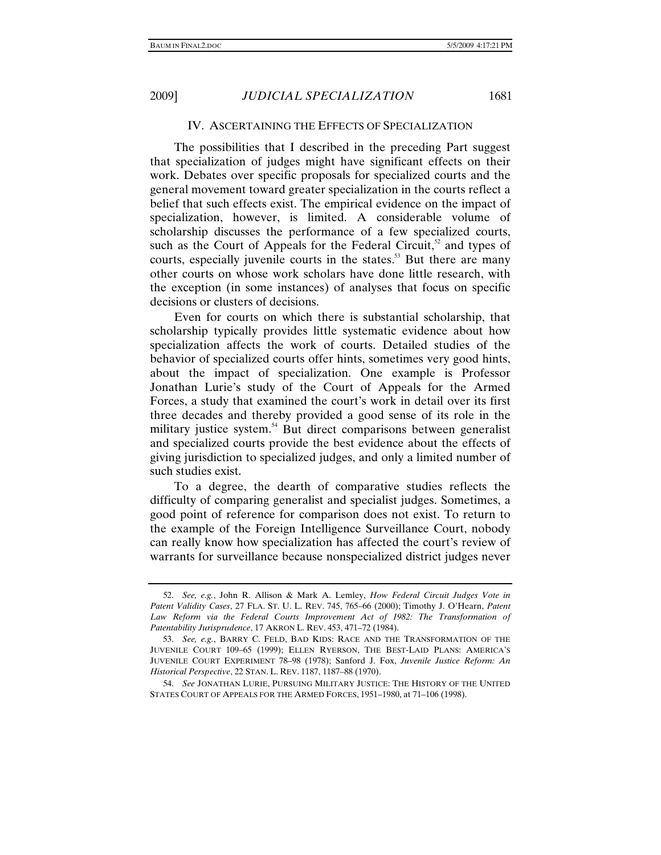### IV. ASCERTAINING THE EFFECTS OF SPECIALIZATION

The possibilities that I described in the preceding Part suggest that specialization of judges might have significant effects on their work. Debates over specific proposals for specialized courts and the general movement toward greater specialization in the courts reflect a belief that such effects exist. The empirical evidence on the impact of specialization, however, is limited. A considerable volume of scholarship discusses the performance of a few specialized courts, such as the Court of Appeals for the Federal Circuit, $52$  and types of courts, especially juvenile courts in the states.<sup>53</sup> But there are many other courts on whose work scholars have done little research, with the exception (in some instances) of analyses that focus on specific decisions or clusters of decisions.

Even for courts on which there is substantial scholarship, that scholarship typically provides little systematic evidence about how specialization affects the work of courts. Detailed studies of the behavior of specialized courts offer hints, sometimes very good hints, about the impact of specialization. One example is Professor Jonathan Lurie's study of the Court of Appeals for the Armed Forces, a study that examined the court's work in detail over its first three decades and thereby provided a good sense of its role in the military justice system.<sup>54</sup> But direct comparisons between generalist and specialized courts provide the best evidence about the effects of giving jurisdiction to specialized judges, and only a limited number of such studies exist.

To a degree, the dearth of comparative studies reflects the difficulty of comparing generalist and specialist judges. Sometimes, a good point of reference for comparison does not exist. To return to the example of the Foreign Intelligence Surveillance Court, nobody can really know how specialization has affected the court's review of warrants for surveillance because nonspecialized district judges never

<sup>52.</sup> *See, e.g.*, John R. Allison & Mark A. Lemley, *How Federal Circuit Judges Vote in Patent Validity Cases*, 27 FLA. ST. U. L. REV. 745, 765–66 (2000); Timothy J. O'Hearn, *Patent*  Law Reform via the Federal Courts Improvement Act of 1982: The Transformation of *Patentability Jurisprudence*, 17 AKRON L. REV. 453, 471–72 (1984).

<sup>53.</sup> *See, e.g.*, BARRY C. FELD, BAD KIDS: RACE AND THE TRANSFORMATION OF THE JUVENILE COURT 109–65 (1999); ELLEN RYERSON, THE BEST-LAID PLANS: AMERICA'S JUVENILE COURT EXPERIMENT 78–98 (1978); Sanford J. Fox, *Juvenile Justice Reform: An Historical Perspective*, 22 STAN. L. REV. 1187, 1187–88 (1970).

<sup>54.</sup> *See* JONATHAN LURIE, PURSUING MILITARY JUSTICE: THE HISTORY OF THE UNITED STATES COURT OF APPEALS FOR THE ARMED FORCES, 1951–1980, at 71–106 (1998).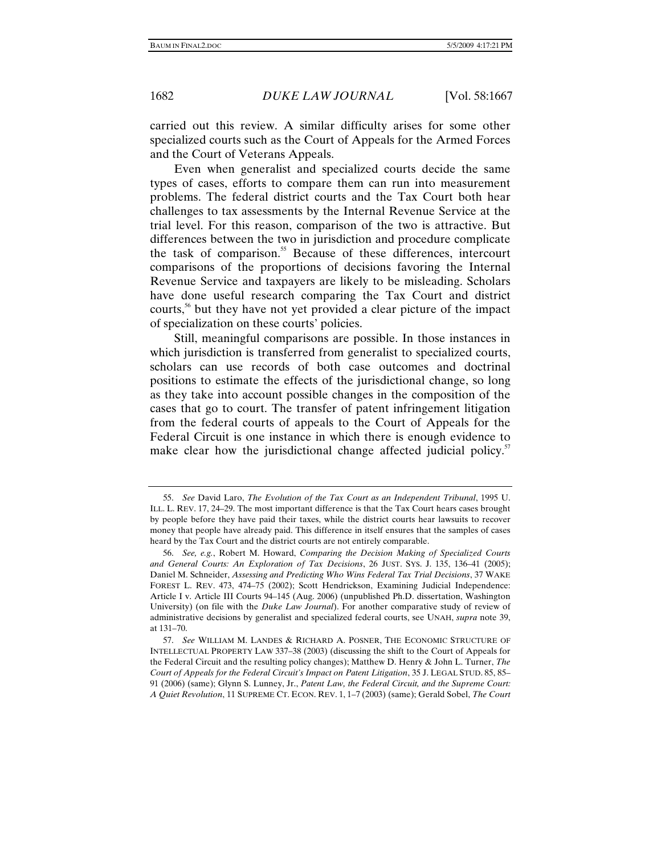carried out this review. A similar difficulty arises for some other specialized courts such as the Court of Appeals for the Armed Forces and the Court of Veterans Appeals.

Even when generalist and specialized courts decide the same types of cases, efforts to compare them can run into measurement problems. The federal district courts and the Tax Court both hear challenges to tax assessments by the Internal Revenue Service at the trial level. For this reason, comparison of the two is attractive. But differences between the two in jurisdiction and procedure complicate the task of comparison.<sup>55</sup> Because of these differences, intercourt comparisons of the proportions of decisions favoring the Internal Revenue Service and taxpayers are likely to be misleading. Scholars have done useful research comparing the Tax Court and district courts,<sup>56</sup> but they have not yet provided a clear picture of the impact of specialization on these courts' policies.

Still, meaningful comparisons are possible. In those instances in which jurisdiction is transferred from generalist to specialized courts, scholars can use records of both case outcomes and doctrinal positions to estimate the effects of the jurisdictional change, so long as they take into account possible changes in the composition of the cases that go to court. The transfer of patent infringement litigation from the federal courts of appeals to the Court of Appeals for the Federal Circuit is one instance in which there is enough evidence to make clear how the jurisdictional change affected judicial policy.<sup>57</sup>

<sup>55.</sup> *See* David Laro, *The Evolution of the Tax Court as an Independent Tribunal*, 1995 U. ILL. L. REV. 17, 24–29. The most important difference is that the Tax Court hears cases brought by people before they have paid their taxes, while the district courts hear lawsuits to recover money that people have already paid. This difference in itself ensures that the samples of cases heard by the Tax Court and the district courts are not entirely comparable.

<sup>56.</sup> *See, e.g.*, Robert M. Howard, *Comparing the Decision Making of Specialized Courts and General Courts: An Exploration of Tax Decisions*, 26 JUST. SYS. J. 135, 136–41 (2005); Daniel M. Schneider, *Assessing and Predicting Who Wins Federal Tax Trial Decisions*, 37 WAKE FOREST L. REV. 473, 474–75 (2002); Scott Hendrickson, Examining Judicial Independence: Article I v. Article III Courts 94–145 (Aug. 2006) (unpublished Ph.D. dissertation, Washington University) (on file with the *Duke Law Journal*). For another comparative study of review of administrative decisions by generalist and specialized federal courts, see UNAH, *supra* note 39, at 131–70.

<sup>57.</sup> *See* WILLIAM M. LANDES & RICHARD A. POSNER, THE ECONOMIC STRUCTURE OF INTELLECTUAL PROPERTY LAW 337–38 (2003) (discussing the shift to the Court of Appeals for the Federal Circuit and the resulting policy changes); Matthew D. Henry & John L. Turner, *The Court of Appeals for the Federal Circuit's Impact on Patent Litigation*, 35 J. LEGAL STUD. 85, 85– 91 (2006) (same); Glynn S. Lunney, Jr., *Patent Law, the Federal Circuit, and the Supreme Court: A Quiet Revolution*, 11 SUPREME CT. ECON. REV. 1, 1–7 (2003) (same); Gerald Sobel, *The Court*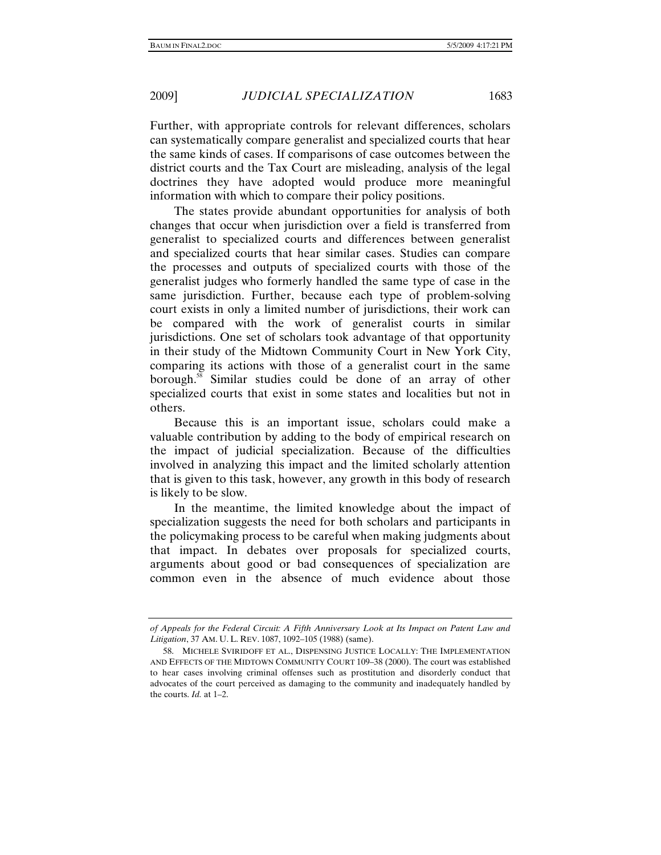Further, with appropriate controls for relevant differences, scholars can systematically compare generalist and specialized courts that hear the same kinds of cases. If comparisons of case outcomes between the district courts and the Tax Court are misleading, analysis of the legal doctrines they have adopted would produce more meaningful information with which to compare their policy positions.

The states provide abundant opportunities for analysis of both changes that occur when jurisdiction over a field is transferred from generalist to specialized courts and differences between generalist and specialized courts that hear similar cases. Studies can compare the processes and outputs of specialized courts with those of the generalist judges who formerly handled the same type of case in the same jurisdiction. Further, because each type of problem-solving court exists in only a limited number of jurisdictions, their work can be compared with the work of generalist courts in similar jurisdictions. One set of scholars took advantage of that opportunity in their study of the Midtown Community Court in New York City, comparing its actions with those of a generalist court in the same borough.<sup>58</sup> Similar studies could be done of an array of other specialized courts that exist in some states and localities but not in others.

Because this is an important issue, scholars could make a valuable contribution by adding to the body of empirical research on the impact of judicial specialization. Because of the difficulties involved in analyzing this impact and the limited scholarly attention that is given to this task, however, any growth in this body of research is likely to be slow.

In the meantime, the limited knowledge about the impact of specialization suggests the need for both scholars and participants in the policymaking process to be careful when making judgments about that impact. In debates over proposals for specialized courts, arguments about good or bad consequences of specialization are common even in the absence of much evidence about those

*of Appeals for the Federal Circuit: A Fifth Anniversary Look at Its Impact on Patent Law and Litigation*, 37 AM. U. L. REV. 1087, 1092–105 (1988) (same).

 <sup>58.</sup> MICHELE SVIRIDOFF ET AL., DISPENSING JUSTICE LOCALLY: THE IMPLEMENTATION AND EFFECTS OF THE MIDTOWN COMMUNITY COURT 109–38 (2000). The court was established to hear cases involving criminal offenses such as prostitution and disorderly conduct that advocates of the court perceived as damaging to the community and inadequately handled by the courts. *Id.* at 1–2.